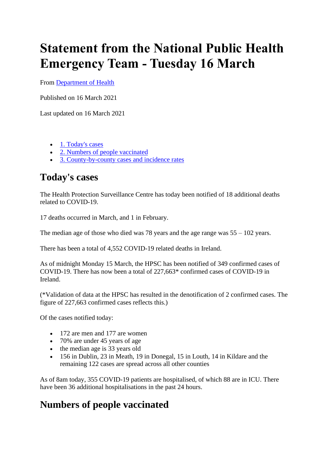## **Statement from the National Public Health Emergency Team - Tuesday 16 March**

From [Department of Health](https://www.gov.ie/en/organisation/department-of-health/)

Published on 16 March 2021

Last updated on 16 March 2021

- [1. Today's cases](https://www.gov.ie/en/press-release/5f121-statement-from-the-national-public-health-emergency-team-tuesday-16-march/#todays-cases)
- [2. Numbers of people vaccinated](https://www.gov.ie/en/press-release/5f121-statement-from-the-national-public-health-emergency-team-tuesday-16-march/#numbers-of-people-vaccinated)
- [3. County-by-county cases and incidence rates](https://www.gov.ie/en/press-release/5f121-statement-from-the-national-public-health-emergency-team-tuesday-16-march/#county-by-county-cases-and-incidence-rates)

## **Today's cases**

The Health Protection Surveillance Centre has today been notified of 18 additional deaths related to COVID-19.

17 deaths occurred in March, and 1 in February.

The median age of those who died was 78 years and the age range was  $55 - 102$  years.

There has been a total of 4,552 COVID-19 related deaths in Ireland.

As of midnight Monday 15 March, the HPSC has been notified of 349 confirmed cases of COVID-19. There has now been a total of 227,663\* confirmed cases of COVID-19 in Ireland.

(\*Validation of data at the HPSC has resulted in the denotification of 2 confirmed cases. The figure of 227,663 confirmed cases reflects this.)

Of the cases notified today:

- 172 are men and 177 are women
- 70% are under 45 years of age
- the median age is 33 years old
- 156 in Dublin, 23 in Meath, 19 in Donegal, 15 in Louth, 14 in Kildare and the remaining 122 cases are spread across all other counties

As of 8am today, 355 COVID-19 patients are hospitalised, of which 88 are in ICU. There have been 36 additional hospitalisations in the past 24 hours.

## **Numbers of people vaccinated**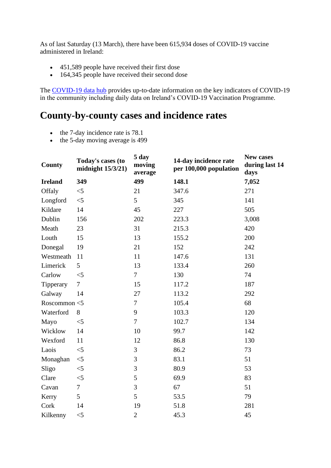As of last Saturday (13 March), there have been 615,934 doses of COVID-19 vaccine administered in Ireland:

- 451,589 people have received their first dose
- 164,345 people have received their second dose

The [COVID-19 data hub](https://www.gov.ie/en/service/0039bc-view-the-covid-19-coronavirus-dashboard-showing-the-latest-stats-and/) provides up-to-date information on the key indicators of COVID-19 in the community including daily data on Ireland's COVID-19 Vaccination Programme.

## **County-by-county cases and incidence rates**

- the 7-day incidence rate is 78.1
- the 5-day moving average is 499

| <b>County</b>  | Today's cases (to<br>midnight $15/3/21$ ) | 5 day<br>moving<br>average | 14-day incidence rate<br>per 100,000 population | New cases<br>during last 14<br>days |
|----------------|-------------------------------------------|----------------------------|-------------------------------------------------|-------------------------------------|
| <b>Ireland</b> | 349                                       | 499                        | 148.1                                           | 7,052                               |
| Offaly         | $<$ 5                                     | 21                         | 347.6                                           | 271                                 |
| Longford       | $<$ 5                                     | 5                          | 345                                             | 141                                 |
| Kildare        | 14                                        | 45                         | 227                                             | 505                                 |
| Dublin         | 156                                       | 202                        | 223.3                                           | 3,008                               |
| Meath          | 23                                        | 31                         | 215.3                                           | 420                                 |
| Louth          | 15                                        | 13                         | 155.2                                           | 200                                 |
| Donegal        | 19                                        | 21                         | 152                                             | 242                                 |
| Westmeath      | 11                                        | 11                         | 147.6                                           | 131                                 |
| Limerick       | 5                                         | 13                         | 133.4                                           | 260                                 |
| Carlow         | $\leq$ 5                                  | $\tau$                     | 130                                             | 74                                  |
| Tipperary      | $\tau$                                    | 15                         | 117.2                                           | 187                                 |
| Galway         | 14                                        | 27                         | 113.2                                           | 292                                 |
| Roscommon <5   |                                           | 7                          | 105.4                                           | 68                                  |
| Waterford      | 8                                         | 9                          | 103.3                                           | 120                                 |
| Mayo           | $<$ 5                                     | $\overline{7}$             | 102.7                                           | 134                                 |
| Wicklow        | 14                                        | 10                         | 99.7                                            | 142                                 |
| Wexford        | 11                                        | 12                         | 86.8                                            | 130                                 |
| Laois          | $<$ 5                                     | 3                          | 86.2                                            | 73                                  |
| Monaghan       | $<$ 5                                     | 3                          | 83.1                                            | 51                                  |
| Sligo          | $<$ 5                                     | 3                          | 80.9                                            | 53                                  |
| Clare          | $<$ 5                                     | 5                          | 69.9                                            | 83                                  |
| Cavan          | $\tau$                                    | 3                          | 67                                              | 51                                  |
| Kerry          | 5                                         | 5                          | 53.5                                            | 79                                  |
| Cork           | 14                                        | 19                         | 51.8                                            | 281                                 |
| Kilkenny       | $<$ 5                                     | $\overline{2}$             | 45.3                                            | 45                                  |